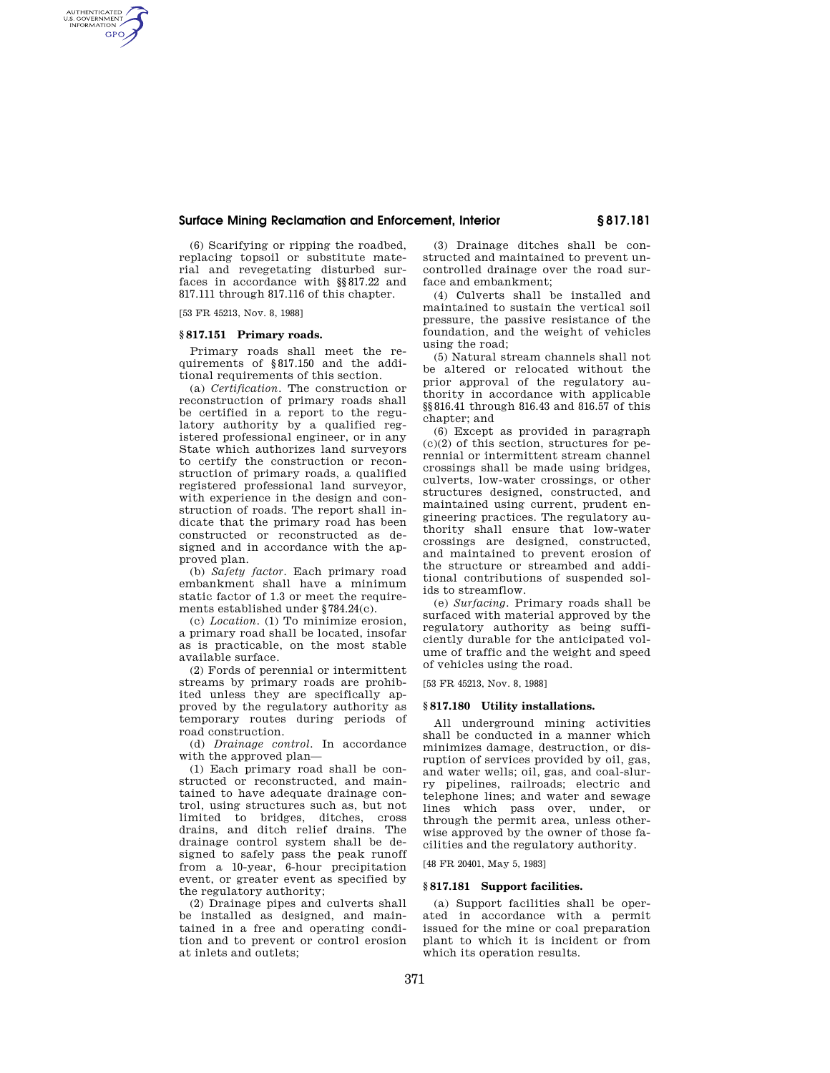# **Surface Mining Reclamation and Enforcement, Interior § 817.181**

(6) Scarifying or ripping the roadbed, replacing topsoil or substitute material and revegetating disturbed surfaces in accordance with §§817.22 and 817.111 through 817.116 of this chapter.

[53 FR 45213, Nov. 8, 1988]

AUTHENTICATED<br>U.S. GOVERNMENT<br>INFORMATION **GPO** 

### **§ 817.151 Primary roads.**

Primary roads shall meet the requirements of §817.150 and the additional requirements of this section.

(a) *Certification.* The construction or reconstruction of primary roads shall be certified in a report to the regulatory authority by a qualified registered professional engineer, or in any State which authorizes land surveyors to certify the construction or reconstruction of primary roads, a qualified registered professional land surveyor, with experience in the design and construction of roads. The report shall indicate that the primary road has been constructed or reconstructed as designed and in accordance with the approved plan.

(b) *Safety factor.* Each primary road embankment shall have a minimum static factor of 1.3 or meet the requirements established under §784.24(c).

(c) *Location.* (1) To minimize erosion, a primary road shall be located, insofar as is practicable, on the most stable available surface.

(2) Fords of perennial or intermittent streams by primary roads are prohibited unless they are specifically approved by the regulatory authority as temporary routes during periods of road construction.

(d) *Drainage control.* In accordance with the approved plan—

(1) Each primary road shall be constructed or reconstructed, and maintained to have adequate drainage control, using structures such as, but not limited to bridges, ditches, cross drains, and ditch relief drains. The drainage control system shall be designed to safely pass the peak runoff from a 10-year, 6-hour precipitation event, or greater event as specified by the regulatory authority;

(2) Drainage pipes and culverts shall be installed as designed, and maintained in a free and operating condition and to prevent or control erosion at inlets and outlets;

(3) Drainage ditches shall be constructed and maintained to prevent uncontrolled drainage over the road surface and embankment;

(4) Culverts shall be installed and maintained to sustain the vertical soil pressure, the passive resistance of the foundation, and the weight of vehicles using the road;

(5) Natural stream channels shall not be altered or relocated without the prior approval of the regulatory authority in accordance with applicable §§816.41 through 816.43 and 816.57 of this chapter; and

(6) Except as provided in paragraph  $(c)(2)$  of this section, structures for perennial or intermittent stream channel crossings shall be made using bridges, culverts, low-water crossings, or other structures designed, constructed, and maintained using current, prudent engineering practices. The regulatory authority shall ensure that low-water crossings are designed, constructed, and maintained to prevent erosion of the structure or streambed and additional contributions of suspended solids to streamflow.

(e) *Surfacing.* Primary roads shall be surfaced with material approved by the regulatory authority as being sufficiently durable for the anticipated volume of traffic and the weight and speed of vehicles using the road.

[53 FR 45213, Nov. 8, 1988]

## **§ 817.180 Utility installations.**

All underground mining activities shall be conducted in a manner which minimizes damage, destruction, or disruption of services provided by oil, gas, and water wells; oil, gas, and coal-slurry pipelines, railroads; electric and telephone lines; and water and sewage lines which pass over, under, or through the permit area, unless otherwise approved by the owner of those facilities and the regulatory authority.

[48 FR 20401, May 5, 1983]

# **§ 817.181 Support facilities.**

(a) Support facilities shall be operated in accordance with a permit issued for the mine or coal preparation plant to which it is incident or from which its operation results.